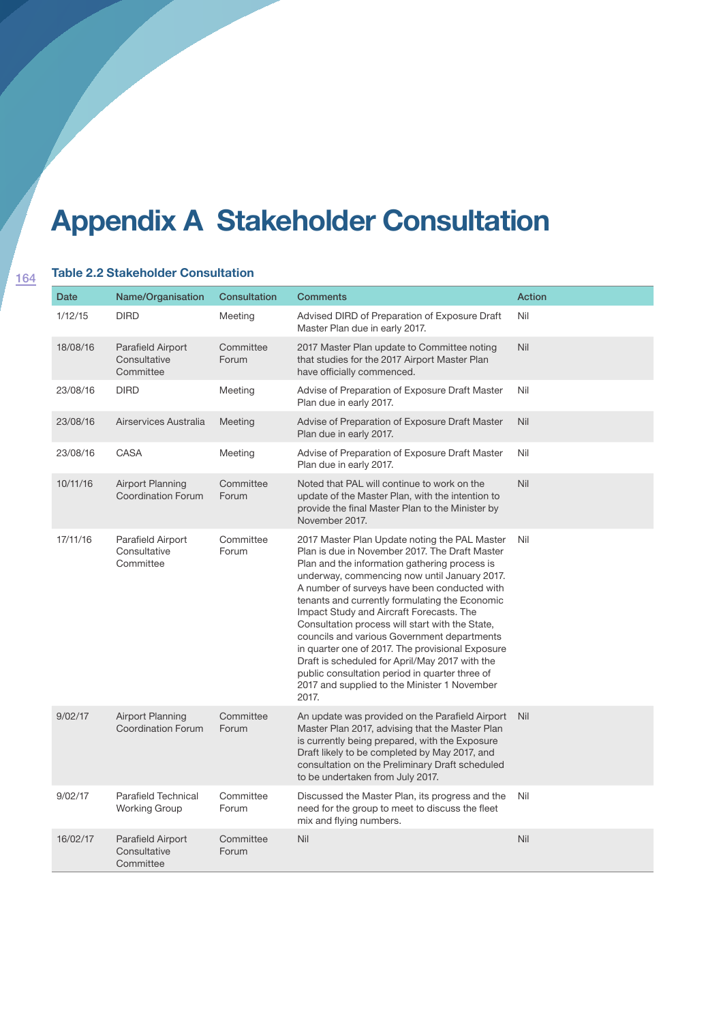## **Appendix A Stakeholder Consultation**

## **Table 2.2 Stakeholder Consultation**

| <b>Date</b> | Name/Organisation                                    | <b>Consultation</b> | <b>Comments</b>                                                                                                                                                                                                                                                                                                                                                                                                                                                                                                                                                                                                                                                   | <b>Action</b> |
|-------------|------------------------------------------------------|---------------------|-------------------------------------------------------------------------------------------------------------------------------------------------------------------------------------------------------------------------------------------------------------------------------------------------------------------------------------------------------------------------------------------------------------------------------------------------------------------------------------------------------------------------------------------------------------------------------------------------------------------------------------------------------------------|---------------|
| 1/12/15     | <b>DIRD</b>                                          | Meeting             | Advised DIRD of Preparation of Exposure Draft<br>Master Plan due in early 2017.                                                                                                                                                                                                                                                                                                                                                                                                                                                                                                                                                                                   | Nil           |
| 18/08/16    | Parafield Airport<br>Consultative<br>Committee       | Committee<br>Forum  | 2017 Master Plan update to Committee noting<br>that studies for the 2017 Airport Master Plan<br>have officially commenced.                                                                                                                                                                                                                                                                                                                                                                                                                                                                                                                                        | Nil           |
| 23/08/16    | <b>DIRD</b>                                          | Meeting             | Advise of Preparation of Exposure Draft Master<br>Plan due in early 2017.                                                                                                                                                                                                                                                                                                                                                                                                                                                                                                                                                                                         | Nil           |
| 23/08/16    | Airservices Australia                                | Meeting             | Advise of Preparation of Exposure Draft Master<br>Plan due in early 2017.                                                                                                                                                                                                                                                                                                                                                                                                                                                                                                                                                                                         | Nil           |
| 23/08/16    | CASA                                                 | Meeting             | Advise of Preparation of Exposure Draft Master<br>Plan due in early 2017.                                                                                                                                                                                                                                                                                                                                                                                                                                                                                                                                                                                         | Nil           |
| 10/11/16    | <b>Airport Planning</b><br><b>Coordination Forum</b> | Committee<br>Forum  | Noted that PAL will continue to work on the<br>update of the Master Plan, with the intention to<br>provide the final Master Plan to the Minister by<br>November 2017.                                                                                                                                                                                                                                                                                                                                                                                                                                                                                             | Nil           |
| 17/11/16    | Parafield Airport<br>Consultative<br>Committee       | Committee<br>Forum  | 2017 Master Plan Update noting the PAL Master<br>Plan is due in November 2017. The Draft Master<br>Plan and the information gathering process is<br>underway, commencing now until January 2017.<br>A number of surveys have been conducted with<br>tenants and currently formulating the Economic<br>Impact Study and Aircraft Forecasts. The<br>Consultation process will start with the State,<br>councils and various Government departments<br>in quarter one of 2017. The provisional Exposure<br>Draft is scheduled for April/May 2017 with the<br>public consultation period in quarter three of<br>2017 and supplied to the Minister 1 November<br>2017. | Nil           |
| 9/02/17     | <b>Airport Planning</b><br><b>Coordination Forum</b> | Committee<br>Forum  | An update was provided on the Parafield Airport<br>Master Plan 2017, advising that the Master Plan<br>is currently being prepared, with the Exposure<br>Draft likely to be completed by May 2017, and<br>consultation on the Preliminary Draft scheduled<br>to be undertaken from July 2017.                                                                                                                                                                                                                                                                                                                                                                      | Nil           |
| 9/02/17     | Parafield Technical<br><b>Working Group</b>          | Committee<br>Forum  | Discussed the Master Plan, its progress and the<br>need for the group to meet to discuss the fleet<br>mix and flying numbers.                                                                                                                                                                                                                                                                                                                                                                                                                                                                                                                                     | Nil           |
| 16/02/17    | Parafield Airport<br>Consultative<br>Committee       | Committee<br>Forum  | Nil                                                                                                                                                                                                                                                                                                                                                                                                                                                                                                                                                                                                                                                               | Nil           |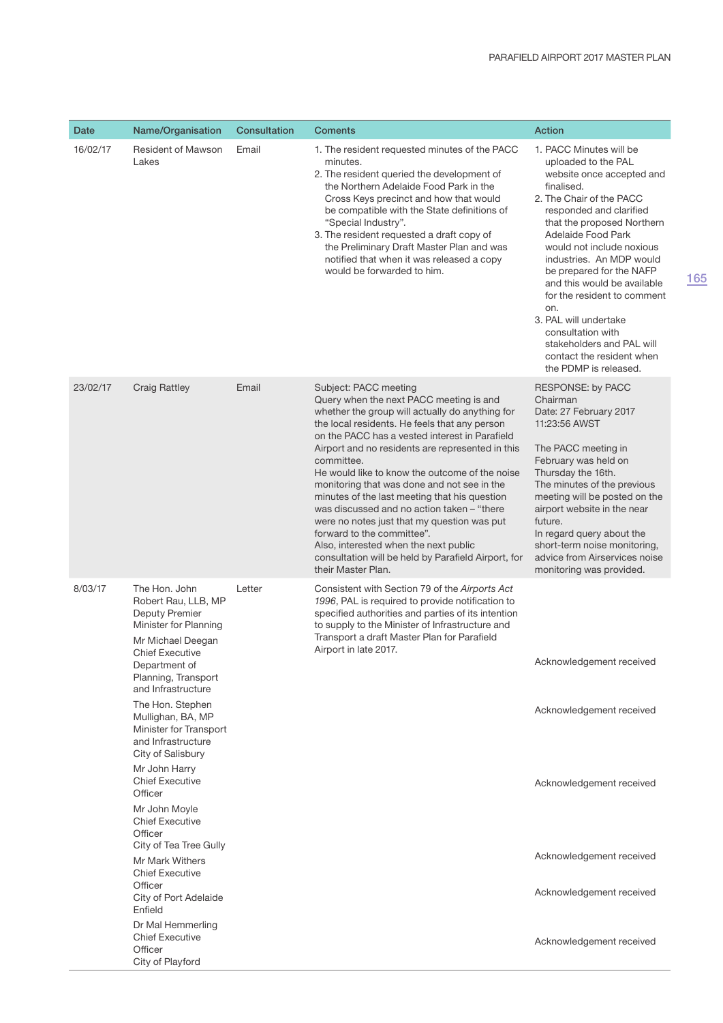| Date     | Name/Organisation                                                                                                                                                                                                                                                                                                                                                                                                                                                                                                                                                                                                                 | Consultation | <b>Coments</b>                                                                                                                                                                                                                                                                                                                                                                                                                                                                                                                                                                                                                                                                               | Action                                                                                                                                                                                                                                                                                                                                                                                                                                                                                          |
|----------|-----------------------------------------------------------------------------------------------------------------------------------------------------------------------------------------------------------------------------------------------------------------------------------------------------------------------------------------------------------------------------------------------------------------------------------------------------------------------------------------------------------------------------------------------------------------------------------------------------------------------------------|--------------|----------------------------------------------------------------------------------------------------------------------------------------------------------------------------------------------------------------------------------------------------------------------------------------------------------------------------------------------------------------------------------------------------------------------------------------------------------------------------------------------------------------------------------------------------------------------------------------------------------------------------------------------------------------------------------------------|-------------------------------------------------------------------------------------------------------------------------------------------------------------------------------------------------------------------------------------------------------------------------------------------------------------------------------------------------------------------------------------------------------------------------------------------------------------------------------------------------|
| 16/02/17 | <b>Resident of Mawson</b><br>Lakes                                                                                                                                                                                                                                                                                                                                                                                                                                                                                                                                                                                                | Email        | 1. The resident requested minutes of the PACC<br>minutes.<br>2. The resident queried the development of<br>the Northern Adelaide Food Park in the<br>Cross Keys precinct and how that would<br>be compatible with the State definitions of<br>"Special Industry".<br>3. The resident requested a draft copy of<br>the Preliminary Draft Master Plan and was<br>notified that when it was released a copy<br>would be forwarded to him.                                                                                                                                                                                                                                                       | 1. PACC Minutes will be<br>uploaded to the PAL<br>website once accepted and<br>finalised.<br>2. The Chair of the PACC<br>responded and clarified<br>that the proposed Northern<br>Adelaide Food Park<br>would not include noxious<br>industries. An MDP would<br>be prepared for the NAFP<br>and this would be available<br>for the resident to comment<br>on.<br>3. PAL will undertake<br>consultation with<br>stakeholders and PAL will<br>contact the resident when<br>the PDMP is released. |
| 23/02/17 | <b>Craig Rattley</b>                                                                                                                                                                                                                                                                                                                                                                                                                                                                                                                                                                                                              | Email        | Subject: PACC meeting<br>Query when the next PACC meeting is and<br>whether the group will actually do anything for<br>the local residents. He feels that any person<br>on the PACC has a vested interest in Parafield<br>Airport and no residents are represented in this<br>committee.<br>He would like to know the outcome of the noise<br>monitoring that was done and not see in the<br>minutes of the last meeting that his question<br>was discussed and no action taken – "there"<br>were no notes just that my question was put<br>forward to the committee".<br>Also, interested when the next public<br>consultation will be held by Parafield Airport, for<br>their Master Plan. | <b>RESPONSE: by PACC</b><br>Chairman<br>Date: 27 February 2017<br>11:23:56 AWST<br>The PACC meeting in<br>February was held on<br>Thursday the 16th.<br>The minutes of the previous<br>meeting will be posted on the<br>airport website in the near<br>future.<br>In regard query about the<br>short-term noise monitoring,<br>advice from Airservices noise<br>monitoring was provided.                                                                                                        |
| 8/03/17  | The Hon. John<br>Robert Rau, LLB, MP<br><b>Deputy Premier</b><br>Minister for Planning<br>Mr Michael Deegan<br><b>Chief Executive</b><br>Department of<br>Planning, Transport<br>and Infrastructure<br>The Hon. Stephen<br>Mullighan, BA, MP<br>Minister for Transport<br>and Infrastructure<br>City of Salisbury<br>Mr John Harry<br><b>Chief Executive</b><br>Officer<br>Mr John Moyle<br><b>Chief Executive</b><br>Officer<br>City of Tea Tree Gully<br>Mr Mark Withers<br><b>Chief Executive</b><br>Officer<br>City of Port Adelaide<br>Enfield<br>Dr Mal Hemmerling<br><b>Chief Executive</b><br>Officer<br>City of Playford | Letter       | Consistent with Section 79 of the Airports Act<br>1996, PAL is required to provide notification to<br>specified authorities and parties of its intention<br>to supply to the Minister of Infrastructure and<br>Transport a draft Master Plan for Parafield<br>Airport in late 2017.                                                                                                                                                                                                                                                                                                                                                                                                          | Acknowledgement received<br>Acknowledgement received<br>Acknowledgement received<br>Acknowledgement received<br>Acknowledgement received<br>Acknowledgement received                                                                                                                                                                                                                                                                                                                            |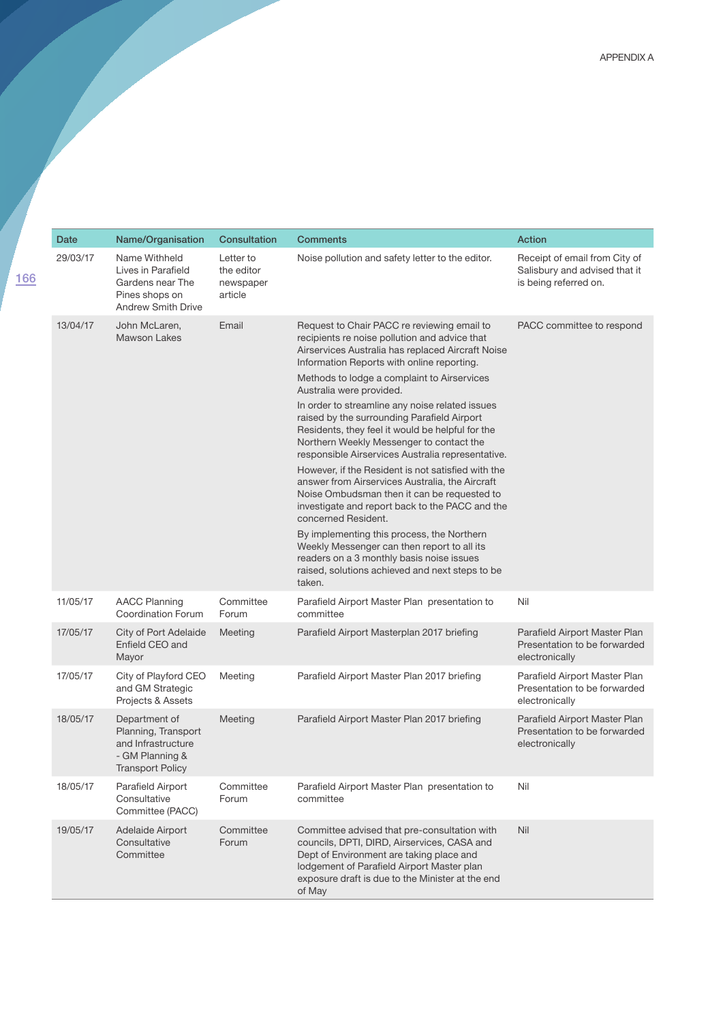|                                                                                                                                                                                                                                                                                                                                                                                                                                                                                                                                                              | Date                                        | Name/Organisation                                                                                      | Consultation                                    | <b>Comments</b>                                                                                                                                                                                                                                                                                                                                                                                                                                                                                                                                                                                                                                                                                                                                                                                                                                                                                                                                                            | Action                                                                                  |
|--------------------------------------------------------------------------------------------------------------------------------------------------------------------------------------------------------------------------------------------------------------------------------------------------------------------------------------------------------------------------------------------------------------------------------------------------------------------------------------------------------------------------------------------------------------|---------------------------------------------|--------------------------------------------------------------------------------------------------------|-------------------------------------------------|----------------------------------------------------------------------------------------------------------------------------------------------------------------------------------------------------------------------------------------------------------------------------------------------------------------------------------------------------------------------------------------------------------------------------------------------------------------------------------------------------------------------------------------------------------------------------------------------------------------------------------------------------------------------------------------------------------------------------------------------------------------------------------------------------------------------------------------------------------------------------------------------------------------------------------------------------------------------------|-----------------------------------------------------------------------------------------|
| 166                                                                                                                                                                                                                                                                                                                                                                                                                                                                                                                                                          | 29/03/17                                    | Name Withheld<br>Lives in Parafield<br>Gardens near The<br>Pines shops on<br><b>Andrew Smith Drive</b> | Letter to<br>the editor<br>newspaper<br>article | Noise pollution and safety letter to the editor.                                                                                                                                                                                                                                                                                                                                                                                                                                                                                                                                                                                                                                                                                                                                                                                                                                                                                                                           | Receipt of email from City of<br>Salisbury and advised that it<br>is being referred on. |
|                                                                                                                                                                                                                                                                                                                                                                                                                                                                                                                                                              | 13/04/17                                    | John McLaren,<br><b>Mawson Lakes</b>                                                                   | Email                                           | Request to Chair PACC re reviewing email to<br>recipients re noise pollution and advice that<br>Airservices Australia has replaced Aircraft Noise<br>Information Reports with online reporting.<br>Methods to lodge a complaint to Airservices<br>Australia were provided.<br>In order to streamline any noise related issues<br>raised by the surrounding Parafield Airport<br>Residents, they feel it would be helpful for the<br>Northern Weekly Messenger to contact the<br>responsible Airservices Australia representative.<br>However, if the Resident is not satisfied with the<br>answer from Airservices Australia, the Aircraft<br>Noise Ombudsman then it can be requested to<br>investigate and report back to the PACC and the<br>concerned Resident.<br>By implementing this process, the Northern<br>Weekly Messenger can then report to all its<br>readers on a 3 monthly basis noise issues<br>raised, solutions achieved and next steps to be<br>taken. | PACC committee to respond                                                               |
| 11/05/17<br><b>AACC Planning</b><br>Committee<br><b>Coordination Forum</b><br>Forum<br>committee<br>17/05/17<br>City of Port Adelaide<br>Meeting<br>Enfield CEO and<br>Mayor<br>17/05/17<br>City of Playford CEO<br>Meeting<br>and GM Strategic<br>Projects & Assets<br>18/05/17<br>Department of<br>Meeting<br>Planning, Transport<br>and Infrastructure<br>- GM Planning &<br><b>Transport Policy</b><br>18/05/17<br>Parafield Airport<br>Committee<br>Consultative<br>Forum<br>committee<br>Committee (PACC)<br>Committee<br>19/05/17<br>Adelaide Airport |                                             |                                                                                                        |                                                 | Parafield Airport Master Plan presentation to                                                                                                                                                                                                                                                                                                                                                                                                                                                                                                                                                                                                                                                                                                                                                                                                                                                                                                                              | Nil                                                                                     |
|                                                                                                                                                                                                                                                                                                                                                                                                                                                                                                                                                              |                                             |                                                                                                        |                                                 | Parafield Airport Masterplan 2017 briefing                                                                                                                                                                                                                                                                                                                                                                                                                                                                                                                                                                                                                                                                                                                                                                                                                                                                                                                                 | Parafield Airport Master Plan<br>Presentation to be forwarded<br>electronically         |
|                                                                                                                                                                                                                                                                                                                                                                                                                                                                                                                                                              | Parafield Airport Master Plan 2017 briefing | Parafield Airport Master Plan<br>Presentation to be forwarded<br>electronically                        |                                                 |                                                                                                                                                                                                                                                                                                                                                                                                                                                                                                                                                                                                                                                                                                                                                                                                                                                                                                                                                                            |                                                                                         |
|                                                                                                                                                                                                                                                                                                                                                                                                                                                                                                                                                              |                                             |                                                                                                        |                                                 | Parafield Airport Master Plan 2017 briefing                                                                                                                                                                                                                                                                                                                                                                                                                                                                                                                                                                                                                                                                                                                                                                                                                                                                                                                                | Parafield Airport Master Plan<br>Presentation to be forwarded<br>electronically         |
|                                                                                                                                                                                                                                                                                                                                                                                                                                                                                                                                                              |                                             |                                                                                                        |                                                 | Parafield Airport Master Plan presentation to                                                                                                                                                                                                                                                                                                                                                                                                                                                                                                                                                                                                                                                                                                                                                                                                                                                                                                                              | Nil                                                                                     |
|                                                                                                                                                                                                                                                                                                                                                                                                                                                                                                                                                              |                                             | Consultative<br>Committee                                                                              | Forum                                           | Committee advised that pre-consultation with<br>councils, DPTI, DIRD, Airservices, CASA and<br>Dept of Environment are taking place and<br>lodgement of Parafield Airport Master plan<br>exposure draft is due to the Minister at the end<br>of May                                                                                                                                                                                                                                                                                                                                                                                                                                                                                                                                                                                                                                                                                                                        | Nil                                                                                     |